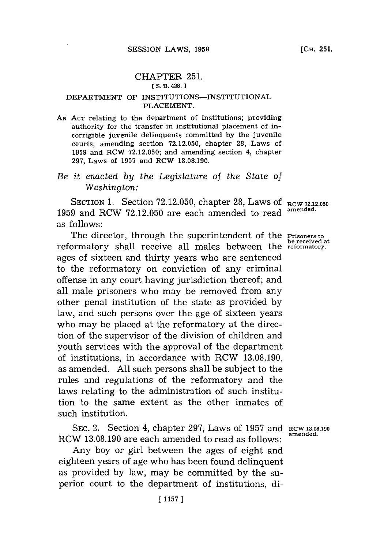## CHAPTER **251. [ S. B. 428.**

## DEPARTMENT OF INSTITUTIONS-INSTITUTIONAL **PLACEMENT.**

**AN ACT** relating to the department of institutions; providing authority for the transfer in institutional placement of incorrigible juvenile delinquents committed **by** the juvenile courts; amending section **72.12.050,** chapter **28,** Laws of **1959** and RCW **72.12.050;** and amending section 4, chapter **297,** Laws of **1957** and RCW **13.08.190.**

*Be it enacted by the Legislature of* the *State of Washington:*

SECTION **1.** Section **72.12.050,** chapter **28,** Laws **Of RCW 72.12.050 1959** and RCW **72.12.050** are each amended to read **amended.** as follows:

The director, through the superintendent of the **Prisoners to be re eived at** reformatory shall receive all males between the **reformatory.** ages of sixteen and thirty years who are sentenced to the reformatory on conviction of any criminal offense in any court having jurisdiction thereof; and all male prisoners who may be removed from any other penal institution of the state as provided **by** law, and such persons over the age of sixteen years who may be placed at the reformatory at the direction of the supervisor of the division of children and youth services with the approval of the department of institutions, in accordance with RCW **13.08.190,** as amended. **All** such persons shall be subject to the rules and regulations of the reformatory and the laws relating to the administration of such institution to the same extent as the other inmates of such institution.

**SEC. 2.** Section 4, chapter 297, Laws of 1957 and RCW 13.08.190 RCW **13.08.190** are each amended to read as follows: **amnend**

Any boy or girl between the ages of eight and eighteen years of age who has been found delinquent as provided **by** law, may be committed **by** the superior court to the department of institutions, di-